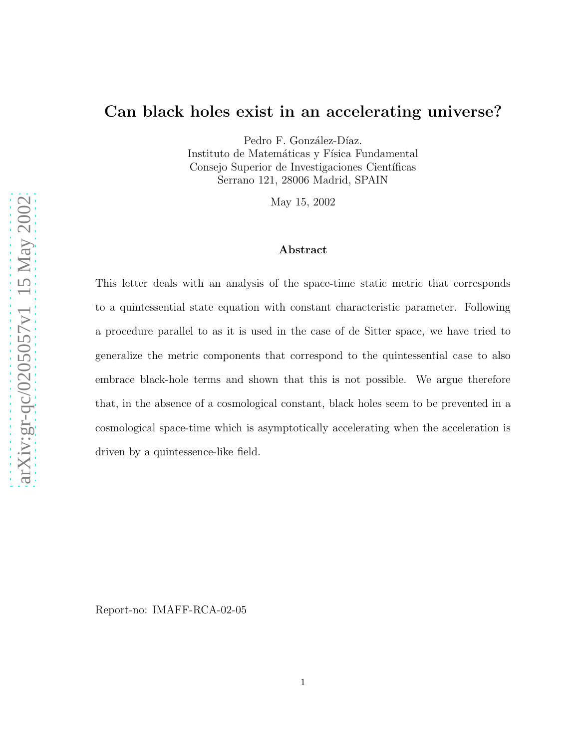## Can black holes exist in an accelerating universe?

Pedro F. González-Díaz. Instituto de Matemáticas y Física Fundamental Consejo Superior de Investigaciones Científicas Serrano 121, 28006 Madrid, SPAIN

May 15, 2002

## Abstract

This letter deals with an analysis of the space-time static metric that corresponds to a quintessential state equation with constant characteristic parameter. Following a procedure parallel to as it is used in the case of de Sitter space, we have tried to generalize the metric components that correspond to the quintessential case to also embrace black-hole terms and shown that this is not possible. We argue therefore that, in the absence of a cosmological constant, black holes seem to be prevented in a cosmological space-time which is asymptotically accelerating when the acceleration is driven by a quintessence-like field.

Report-no: IMAFF-RCA-02-05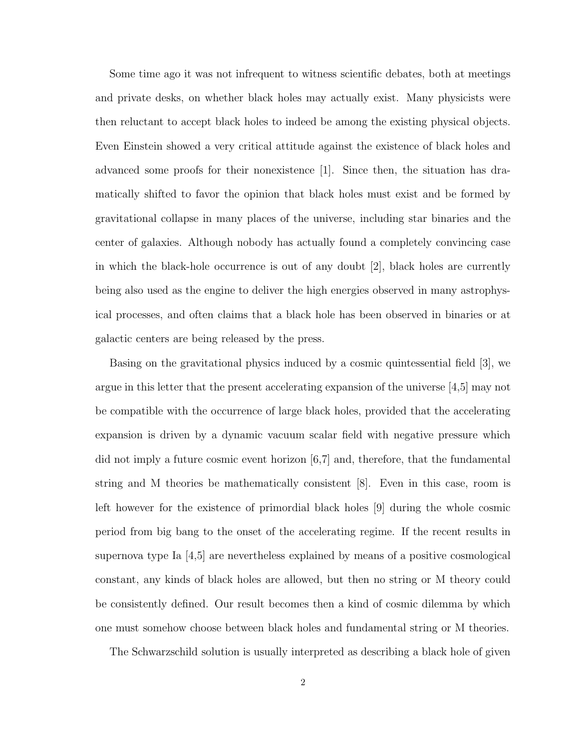Some time ago it was not infrequent to witness scientific debates, both at meetings and private desks, on whether black holes may actually exist. Many physicists were then reluctant to accept black holes to indeed be among the existing physical objects. Even Einstein showed a very critical attitude against the existence of black holes and advanced some proofs for their nonexistence [1]. Since then, the situation has dramatically shifted to favor the opinion that black holes must exist and be formed by gravitational collapse in many places of the universe, including star binaries and the center of galaxies. Although nobody has actually found a completely convincing case in which the black-hole occurrence is out of any doubt [2], black holes are currently being also used as the engine to deliver the high energies observed in many astrophysical processes, and often claims that a black hole has been observed in binaries or at galactic centers are being released by the press.

Basing on the gravitational physics induced by a cosmic quintessential field [3], we argue in this letter that the present accelerating expansion of the universe [4,5] may not be compatible with the occurrence of large black holes, provided that the accelerating expansion is driven by a dynamic vacuum scalar field with negative pressure which did not imply a future cosmic event horizon  $(6,7]$  and, therefore, that the fundamental string and M theories be mathematically consistent [8]. Even in this case, room is left however for the existence of primordial black holes [9] during the whole cosmic period from big bang to the onset of the accelerating regime. If the recent results in supernova type Ia [4,5] are nevertheless explained by means of a positive cosmological constant, any kinds of black holes are allowed, but then no string or M theory could be consistently defined. Our result becomes then a kind of cosmic dilemma by which one must somehow choose between black holes and fundamental string or M theories.

The Schwarzschild solution is usually interpreted as describing a black hole of given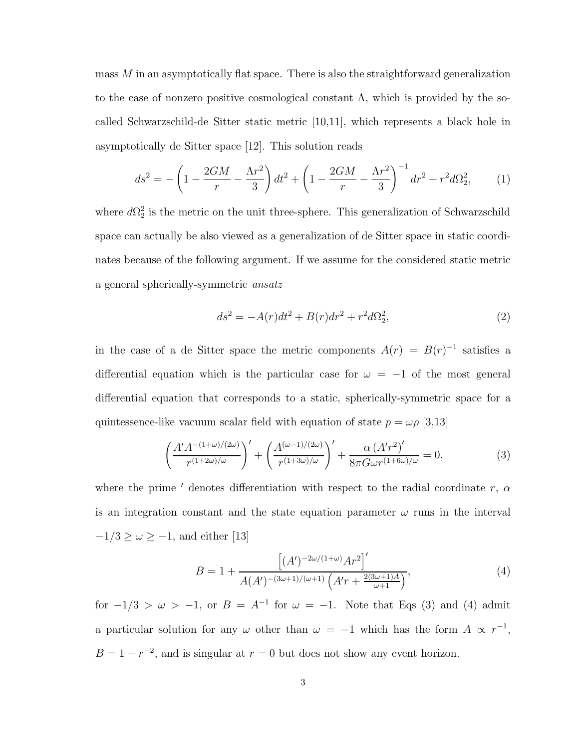mass  $M$  in an asymptotically flat space. There is also the straightforward generalization to the case of nonzero positive cosmological constant  $\Lambda$ , which is provided by the socalled Schwarzschild-de Sitter static metric [10,11], which represents a black hole in asymptotically de Sitter space [12]. This solution reads

$$
ds^{2} = -\left(1 - \frac{2GM}{r} - \frac{\Lambda r^{2}}{3}\right)dt^{2} + \left(1 - \frac{2GM}{r} - \frac{\Lambda r^{2}}{3}\right)^{-1}dr^{2} + r^{2}d\Omega_{2}^{2},\qquad(1)
$$

where  $d\Omega_2^2$  is the metric on the unit three-sphere. This generalization of Schwarzschild space can actually be also viewed as a generalization of de Sitter space in static coordinates because of the following argument. If we assume for the considered static metric a general spherically-symmetric ansatz

$$
ds^{2} = -A(r)dt^{2} + B(r)dr^{2} + r^{2}d\Omega_{2}^{2},
$$
\n(2)

in the case of a de Sitter space the metric components  $A(r) = B(r)^{-1}$  satisfies a differential equation which is the particular case for  $\omega = -1$  of the most general differential equation that corresponds to a static, spherically-symmetric space for a quintessence-like vacuum scalar field with equation of state  $p = \omega \rho$  [3,13]

$$
\left(\frac{A'A^{-(1+\omega)/(2\omega)}}{r^{(1+2\omega)/\omega}}\right)' + \left(\frac{A^{(\omega-1)/(2\omega)}}{r^{(1+3\omega)/\omega}}\right)' + \frac{\alpha \left(A'r^2\right)'}{8\pi G\omega r^{(1+6\omega)/\omega}} = 0,\tag{3}
$$

where the prime  $'$  denotes differentiation with respect to the radial coordinate  $r, \alpha$ is an integration constant and the state equation parameter  $\omega$  runs in the interval  $-1/3 \ge \omega \ge -1$ , and either [13]

$$
B = 1 + \frac{\left[ (A')^{-2\omega/(1+\omega)} A r^2 \right]'}{A(A')^{-(3\omega+1)/(\omega+1)} \left( A' r + \frac{2(3\omega+1)A}{\omega+1} \right)},\tag{4}
$$

for  $-1/3 > \omega > -1$ , or  $B = A^{-1}$  for  $\omega = -1$ . Note that Eqs (3) and (4) admit a particular solution for any  $\omega$  other than  $\omega = -1$  which has the form  $A \propto r^{-1}$ ,  $B = 1 - r^{-2}$ , and is singular at  $r = 0$  but does not show any event horizon.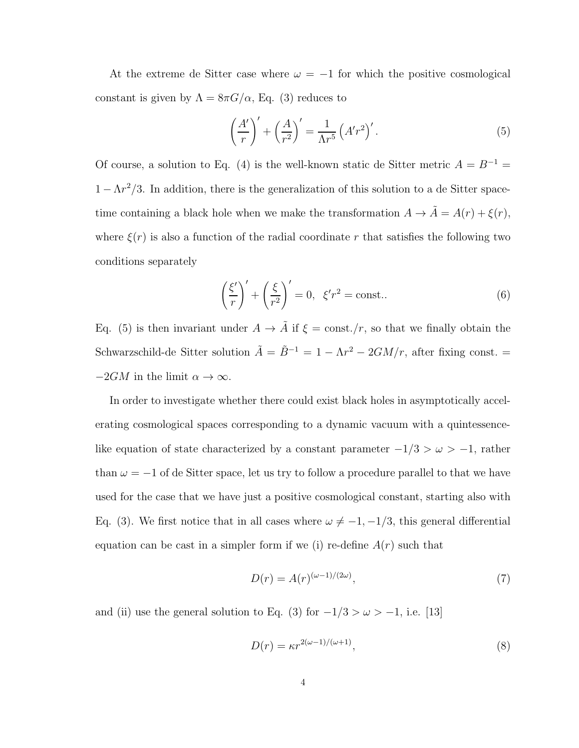At the extreme de Sitter case where  $\omega = -1$  for which the positive cosmological constant is given by  $\Lambda = 8\pi G/\alpha$ , Eq. (3) reduces to

$$
\left(\frac{A'}{r}\right)' + \left(\frac{A}{r^2}\right)' = \frac{1}{\Lambda r^5} \left(A'r^2\right)'.
$$
\n(5)

Of course, a solution to Eq. (4) is the well-known static de Sitter metric  $A = B^{-1} =$  $1 - \Lambda r^2/3$ . In addition, there is the generalization of this solution to a de Sitter spacetime containing a black hole when we make the transformation  $A \to \tilde{A} = A(r) + \xi(r)$ , where  $\xi(r)$  is also a function of the radial coordinate r that satisfies the following two conditions separately

$$
\left(\frac{\xi'}{r}\right)' + \left(\frac{\xi}{r^2}\right)' = 0, \ \xi'r^2 = \text{const.} \tag{6}
$$

Eq. (5) is then invariant under  $A \to \tilde{A}$  if  $\xi = \text{const.}/r$ , so that we finally obtain the Schwarzschild-de Sitter solution  $\tilde{A} = \tilde{B}^{-1} = 1 - \Lambda r^2 - 2GM/r$ , after fixing const. =  $-2GM$  in the limit  $\alpha \to \infty$ .

In order to investigate whether there could exist black holes in asymptotically accelerating cosmological spaces corresponding to a dynamic vacuum with a quintessencelike equation of state characterized by a constant parameter  $-1/3 > \omega > -1$ , rather than  $\omega = -1$  of de Sitter space, let us try to follow a procedure parallel to that we have used for the case that we have just a positive cosmological constant, starting also with Eq. (3). We first notice that in all cases where  $\omega \neq -1, -1/3$ , this general differential equation can be cast in a simpler form if we (i) re-define  $A(r)$  such that

$$
D(r) = A(r)^{(\omega - 1)/(2\omega)},\tag{7}
$$

and (ii) use the general solution to Eq. (3) for  $-1/3 > \omega > -1$ , i.e. [13]

$$
D(r) = \kappa r^{2(\omega - 1)/(\omega + 1)},\tag{8}
$$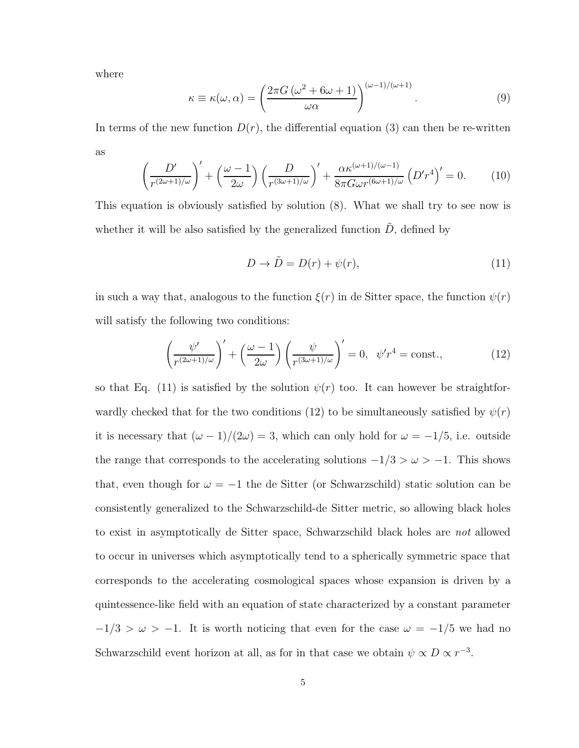where

$$
\kappa \equiv \kappa(\omega, \alpha) = \left(\frac{2\pi G \left(\omega^2 + 6\omega + 1\right)}{\omega \alpha}\right)^{(\omega - 1)/(\omega + 1)}.\tag{9}
$$

In terms of the new function  $D(r)$ , the differential equation (3) can then be re-written as

$$
\left(\frac{D'}{r^{(2\omega+1)/\omega}}\right)' + \left(\frac{\omega-1}{2\omega}\right)\left(\frac{D}{r^{(3\omega+1)/\omega}}\right)' + \frac{\alpha \kappa^{(\omega+1)/(\omega-1)}}{8\pi G\omega r^{(6\omega+1)/\omega}} \left(D'r^4\right)' = 0.
$$
 (10)

This equation is obviously satisfied by solution (8). What we shall try to see now is whether it will be also satisfied by the generalized function  $\ddot{D}$ , defined by

$$
D \to \tilde{D} = D(r) + \psi(r), \tag{11}
$$

in such a way that, analogous to the function  $\xi(r)$  in de Sitter space, the function  $\psi(r)$ will satisfy the following two conditions:

$$
\left(\frac{\psi'}{r^{(2\omega+1)/\omega}}\right)' + \left(\frac{\omega-1}{2\omega}\right)\left(\frac{\psi}{r^{(3\omega+1)/\omega}}\right)' = 0, \quad \psi'r^4 = \text{const.},\tag{12}
$$

so that Eq. (11) is satisfied by the solution  $\psi(r)$  too. It can however be straightforwardly checked that for the two conditions (12) to be simultaneously satisfied by  $\psi(r)$ it is necessary that  $(\omega - 1)/(2\omega) = 3$ , which can only hold for  $\omega = -1/5$ , i.e. outside the range that corresponds to the accelerating solutions  $-1/3 > \omega > -1$ . This shows that, even though for  $\omega = -1$  the de Sitter (or Schwarzschild) static solution can be consistently generalized to the Schwarzschild-de Sitter metric, so allowing black holes to exist in asymptotically de Sitter space, Schwarzschild black holes are not allowed to occur in universes which asymptotically tend to a spherically symmetric space that corresponds to the accelerating cosmological spaces whose expansion is driven by a quintessence-like field with an equation of state characterized by a constant parameter  $-1/3 > \omega > -1$ . It is worth noticing that even for the case  $\omega = -1/5$  we had no Schwarzschild event horizon at all, as for in that case we obtain  $\psi \propto D \propto r^{-3}$ .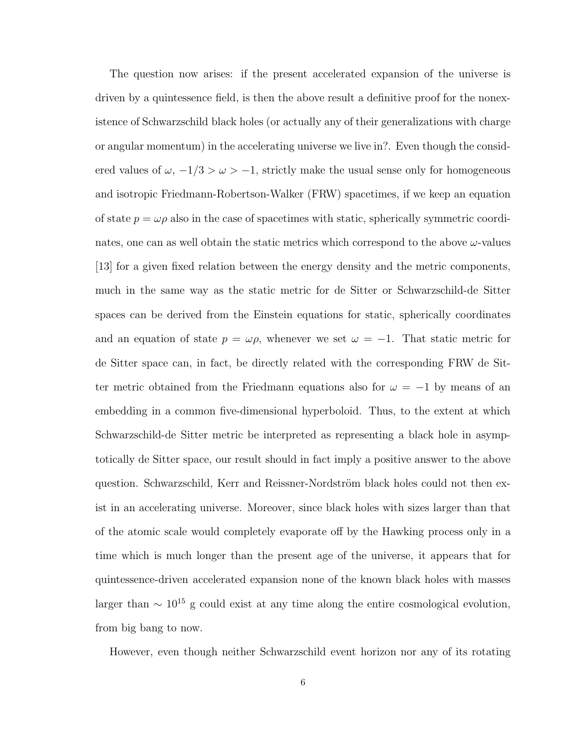The question now arises: if the present accelerated expansion of the universe is driven by a quintessence field, is then the above result a definitive proof for the nonexistence of Schwarzschild black holes (or actually any of their generalizations with charge or angular momentum) in the accelerating universe we live in?. Even though the considered values of  $\omega$ ,  $-1/3 > \omega > -1$ , strictly make the usual sense only for homogeneous and isotropic Friedmann-Robertson-Walker (FRW) spacetimes, if we keep an equation of state  $p = \omega \rho$  also in the case of spacetimes with static, spherically symmetric coordinates, one can as well obtain the static metrics which correspond to the above  $\omega$ -values [13] for a given fixed relation between the energy density and the metric components, much in the same way as the static metric for de Sitter or Schwarzschild-de Sitter spaces can be derived from the Einstein equations for static, spherically coordinates and an equation of state  $p = \omega \rho$ , whenever we set  $\omega = -1$ . That static metric for de Sitter space can, in fact, be directly related with the corresponding FRW de Sitter metric obtained from the Friedmann equations also for  $\omega = -1$  by means of an embedding in a common five-dimensional hyperboloid. Thus, to the extent at which Schwarzschild-de Sitter metric be interpreted as representing a black hole in asymptotically de Sitter space, our result should in fact imply a positive answer to the above question. Schwarzschild, Kerr and Reissner-Nordström black holes could not then exist in an accelerating universe. Moreover, since black holes with sizes larger than that of the atomic scale would completely evaporate off by the Hawking process only in a time which is much longer than the present age of the universe, it appears that for quintessence-driven accelerated expansion none of the known black holes with masses larger than  $\sim 10^{15}$  g could exist at any time along the entire cosmological evolution, from big bang to now.

However, even though neither Schwarzschild event horizon nor any of its rotating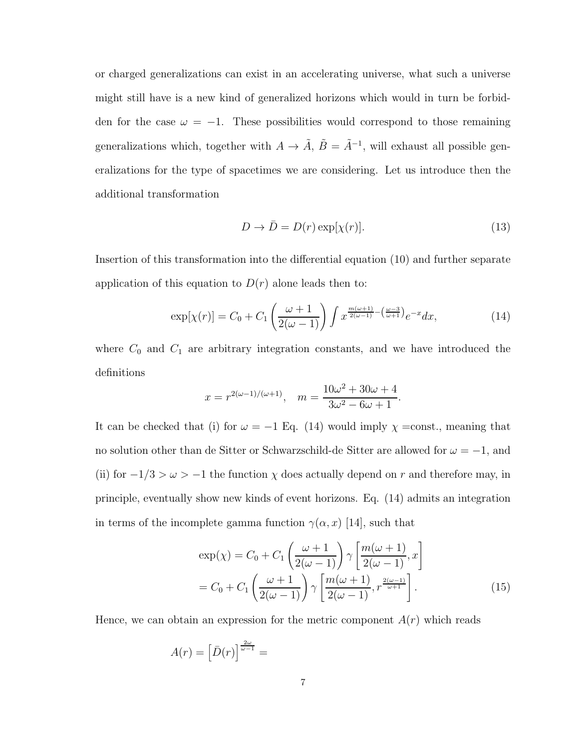or charged generalizations can exist in an accelerating universe, what such a universe might still have is a new kind of generalized horizons which would in turn be forbidden for the case  $\omega = -1$ . These possibilities would correspond to those remaining generalizations which, together with  $A \to \tilde{A}$ ,  $\tilde{B} = \tilde{A}^{-1}$ , will exhaust all possible generalizations for the type of spacetimes we are considering. Let us introduce then the additional transformation

$$
D \to \bar{D} = D(r) \exp[\chi(r)]. \tag{13}
$$

Insertion of this transformation into the differential equation (10) and further separate application of this equation to  $D(r)$  alone leads then to:

$$
\exp[\chi(r)] = C_0 + C_1 \left(\frac{\omega + 1}{2(\omega - 1)}\right) \int x^{\frac{m(\omega + 1)}{2(\omega - 1)} - \left(\frac{\omega - 3}{\omega + 1}\right)} e^{-x} dx, \tag{14}
$$

where  $C_0$  and  $C_1$  are arbitrary integration constants, and we have introduced the definitions

$$
x = r^{2(\omega - 1)/(\omega + 1)}, \quad m = \frac{10\omega^2 + 30\omega + 4}{3\omega^2 - 6\omega + 1}.
$$

It can be checked that (i) for  $\omega = -1$  Eq. (14) would imply  $\chi$  =const., meaning that no solution other than de Sitter or Schwarzschild-de Sitter are allowed for  $\omega = -1$ , and (ii) for  $-1/3 > \omega > -1$  the function  $\chi$  does actually depend on  $r$  and therefore may, in principle, eventually show new kinds of event horizons. Eq. (14) admits an integration in terms of the incomplete gamma function  $\gamma(\alpha, x)$  [14], such that

$$
\exp(\chi) = C_0 + C_1 \left( \frac{\omega + 1}{2(\omega - 1)} \right) \gamma \left[ \frac{m(\omega + 1)}{2(\omega - 1)}, x \right]
$$

$$
= C_0 + C_1 \left( \frac{\omega + 1}{2(\omega - 1)} \right) \gamma \left[ \frac{m(\omega + 1)}{2(\omega - 1)}, r^{\frac{2(\omega - 1)}{\omega + 1}} \right].
$$
(15)

Hence, we can obtain an expression for the metric component  $A(r)$  which reads

$$
A(r)=\left[\bar{D}(r)\right]^{\frac{2\omega}{\omega-1}}=
$$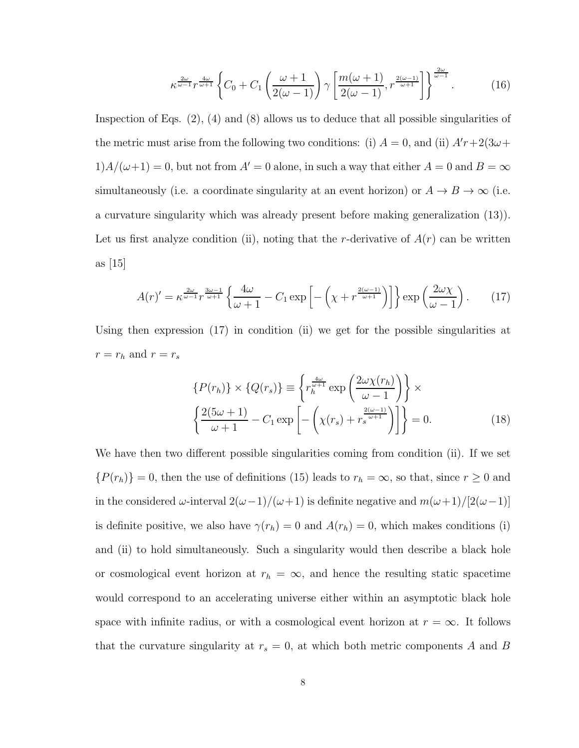$$
\kappa^{\frac{2\omega}{\omega-1}} r^{\frac{4\omega}{\omega+1}} \left\{ C_0 + C_1 \left( \frac{\omega+1}{2(\omega-1)} \right) \gamma \left[ \frac{m(\omega+1)}{2(\omega-1)}, r^{\frac{2(\omega-1)}{\omega+1}} \right] \right\}^{\frac{2\omega}{\omega-1}}.
$$
 (16)

Inspection of Eqs.  $(2)$ ,  $(4)$  and  $(8)$  allows us to deduce that all possible singularities of the metric must arise from the following two conditions: (i)  $A = 0$ , and (ii)  $A'r + 2(3\omega +$  $1)A/(\omega+1) = 0$ , but not from  $A' = 0$  alone, in such a way that either  $A = 0$  and  $B = \infty$ simultaneously (i.e. a coordinate singularity at an event horizon) or  $A \to B \to \infty$  (i.e. a curvature singularity which was already present before making generalization (13)). Let us first analyze condition (ii), noting that the r-derivative of  $A(r)$  can be written as [15]

$$
A(r)' = \kappa^{\frac{2\omega}{\omega - 1}} r^{\frac{3\omega - 1}{\omega + 1}} \left\{ \frac{4\omega}{\omega + 1} - C_1 \exp\left[ -\left(\chi + r^{\frac{2(\omega - 1)}{\omega + 1}}\right) \right] \right\} \exp\left(\frac{2\omega \chi}{\omega - 1}\right). \tag{17}
$$

Using then expression (17) in condition (ii) we get for the possible singularities at  $r=r_h$  and  $r=r_s$ 

$$
\{P(r_h)\} \times \{Q(r_s)\} \equiv \left\{r_h^{\frac{4\omega}{\omega+1}} \exp\left(\frac{2\omega\chi(r_h)}{\omega - 1}\right)\right\} \times \left\{\frac{2(5\omega + 1)}{\omega + 1} - C_1 \exp\left[-\left(\chi(r_s) + r_s^{\frac{2(\omega - 1)}{\omega + 1}}\right)\right]\right\} = 0.
$$
\n(18)

We have then two different possible singularities coming from condition (ii). If we set  ${P(r_h)} = 0$ , then the use of definitions (15) leads to  $r_h = \infty$ , so that, since  $r \geq 0$  and in the considered  $\omega$ -interval  $2(\omega-1)/(\omega+1)$  is definite negative and  $m(\omega+1)/[2(\omega-1)]$ is definite positive, we also have  $\gamma(r_h) = 0$  and  $A(r_h) = 0$ , which makes conditions (i) and (ii) to hold simultaneously. Such a singularity would then describe a black hole or cosmological event horizon at  $r_h = \infty$ , and hence the resulting static spacetime would correspond to an accelerating universe either within an asymptotic black hole space with infinite radius, or with a cosmological event horizon at  $r = \infty$ . It follows that the curvature singularity at  $r_s = 0$ , at which both metric components A and B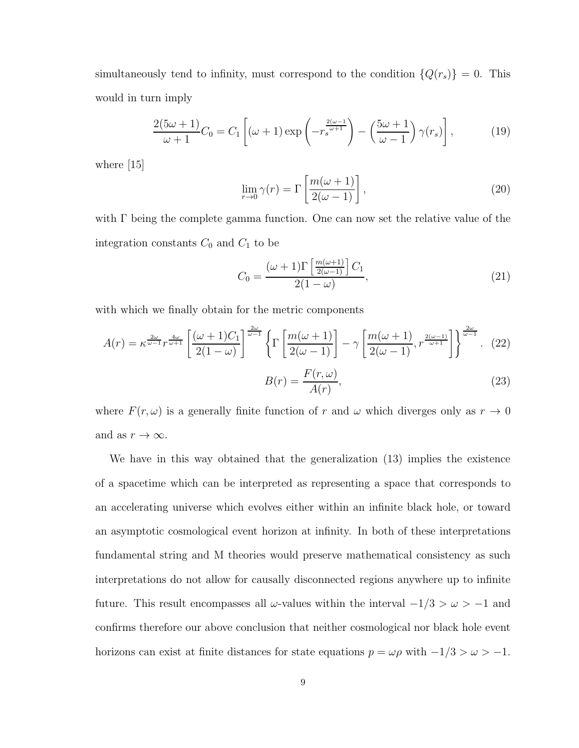simultaneously tend to infinity, must correspond to the condition  ${Q(r_s)} = 0$ . This would in turn imply

$$
\frac{2(5\omega+1)}{\omega+1}C_0 = C_1\left[(\omega+1)\exp\left(-r_s^{\frac{2(\omega-1)}{\omega+1}}\right) - \left(\frac{5\omega+1}{\omega-1}\right)\gamma(r_s)\right],\tag{19}
$$

where [15]

$$
\lim_{r \to 0} \gamma(r) = \Gamma\left[\frac{m(\omega + 1)}{2(\omega - 1)}\right],\tag{20}
$$

with  $\Gamma$  being the complete gamma function. One can now set the relative value of the integration constants  $C_0$  and  $C_1$  to be

$$
C_0 = \frac{(\omega + 1)\Gamma\left[\frac{m(\omega + 1)}{2(\omega - 1)}\right]C_1}{2(1 - \omega)},\tag{21}
$$

with which we finally obtain for the metric components

$$
A(r) = \kappa^{\frac{2\omega}{\omega - 1}} r^{\frac{4\omega}{\omega + 1}} \left[ \frac{(\omega + 1)C_1}{2(1 - \omega)} \right]^{\frac{2\omega}{\omega - 1}} \left\{ \Gamma \left[ \frac{m(\omega + 1)}{2(\omega - 1)} \right] - \gamma \left[ \frac{m(\omega + 1)}{2(\omega - 1)}, r^{\frac{2(\omega - 1)}{\omega + 1}} \right] \right\}^{\frac{2\omega}{\omega - 1}}. (22)
$$

$$
B(r) = \frac{F(r,\omega)}{A(r)},
$$
\n(23)

where  $F(r, \omega)$  is a generally finite function of r and  $\omega$  which diverges only as  $r \to 0$ and as  $r \to \infty$ .

We have in this way obtained that the generalization (13) implies the existence of a spacetime which can be interpreted as representing a space that corresponds to an accelerating universe which evolves either within an infinite black hole, or toward an asymptotic cosmological event horizon at infinity. In both of these interpretations fundamental string and M theories would preserve mathematical consistency as such interpretations do not allow for causally disconnected regions anywhere up to infinite future. This result encompasses all  $\omega$ -values within the interval  $-1/3 > \omega > -1$  and confirms therefore our above conclusion that neither cosmological nor black hole event horizons can exist at finite distances for state equations  $p = \omega \rho$  with  $-1/3 > \omega > -1$ .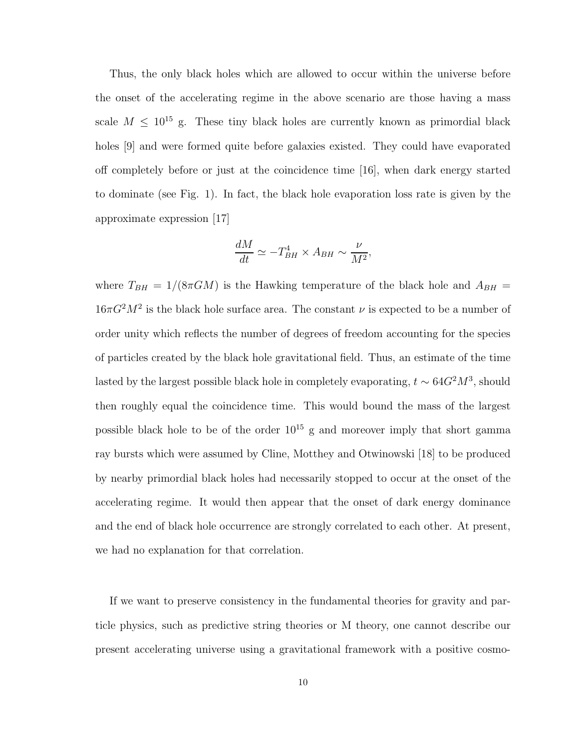Thus, the only black holes which are allowed to occur within the universe before the onset of the accelerating regime in the above scenario are those having a mass scale  $M \leq 10^{15}$  g. These tiny black holes are currently known as primordial black holes [9] and were formed quite before galaxies existed. They could have evaporated off completely before or just at the coincidence time [16], when dark energy started to dominate (see Fig. 1). In fact, the black hole evaporation loss rate is given by the approximate expression [17]

$$
\frac{dM}{dt} \simeq -T_{BH}^4 \times A_{BH} \sim \frac{\nu}{M^2},
$$

where  $T_{BH} = 1/(8\pi GM)$  is the Hawking temperature of the black hole and  $A_{BH} =$  $16\pi G^2 M^2$  is the black hole surface area. The constant  $\nu$  is expected to be a number of order unity which reflects the number of degrees of freedom accounting for the species of particles created by the black hole gravitational field. Thus, an estimate of the time lasted by the largest possible black hole in completely evaporating,  $t \sim 64G^2M^3$ , should then roughly equal the coincidence time. This would bound the mass of the largest possible black hole to be of the order  $10^{15}$  g and moreover imply that short gamma ray bursts which were assumed by Cline, Motthey and Otwinowski [18] to be produced by nearby primordial black holes had necessarily stopped to occur at the onset of the accelerating regime. It would then appear that the onset of dark energy dominance and the end of black hole occurrence are strongly correlated to each other. At present, we had no explanation for that correlation.

If we want to preserve consistency in the fundamental theories for gravity and particle physics, such as predictive string theories or M theory, one cannot describe our present accelerating universe using a gravitational framework with a positive cosmo-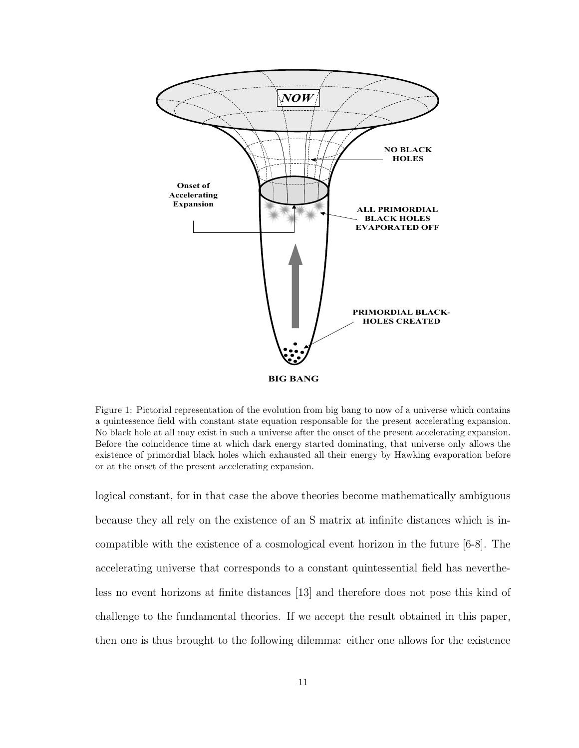

Figure 1: Pictorial representation of the evolution from big bang to now of a universe which contains a quintessence field with constant state equation responsable for the present accelerating expansion. No black hole at all may exist in such a universe after the onset of the present accelerating expansion. Before the coincidence time at which dark energy started dominating, that universe only allows the existence of primordial black holes which exhausted all their energy by Hawking evaporation before or at the onset of the present accelerating expansion.

logical constant, for in that case the above theories become mathematically ambiguous because they all rely on the existence of an S matrix at infinite distances which is incompatible with the existence of a cosmological event horizon in the future [6-8]. The accelerating universe that corresponds to a constant quintessential field has nevertheless no event horizons at finite distances [13] and therefore does not pose this kind of challenge to the fundamental theories. If we accept the result obtained in this paper, then one is thus brought to the following dilemma: either one allows for the existence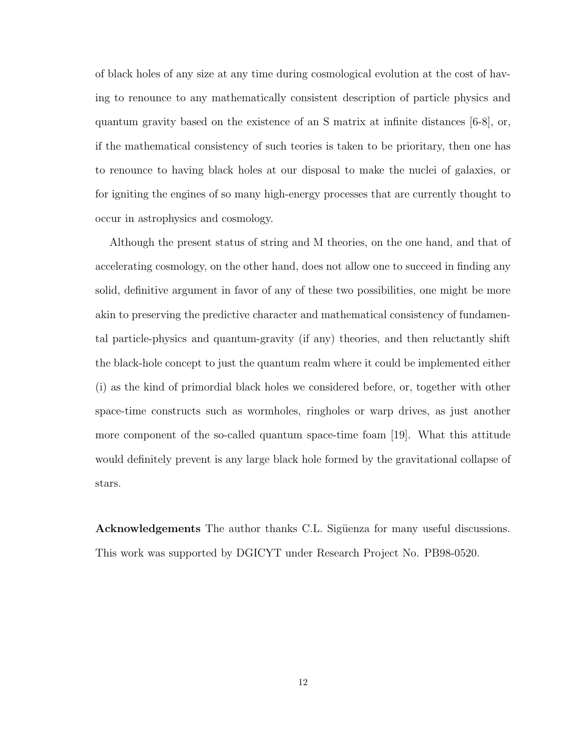of black holes of any size at any time during cosmological evolution at the cost of having to renounce to any mathematically consistent description of particle physics and quantum gravity based on the existence of an S matrix at infinite distances [6-8], or, if the mathematical consistency of such teories is taken to be prioritary, then one has to renounce to having black holes at our disposal to make the nuclei of galaxies, or for igniting the engines of so many high-energy processes that are currently thought to occur in astrophysics and cosmology.

Although the present status of string and M theories, on the one hand, and that of accelerating cosmology, on the other hand, does not allow one to succeed in finding any solid, definitive argument in favor of any of these two possibilities, one might be more akin to preserving the predictive character and mathematical consistency of fundamental particle-physics and quantum-gravity (if any) theories, and then reluctantly shift the black-hole concept to just the quantum realm where it could be implemented either (i) as the kind of primordial black holes we considered before, or, together with other space-time constructs such as wormholes, ringholes or warp drives, as just another more component of the so-called quantum space-time foam [19]. What this attitude would definitely prevent is any large black hole formed by the gravitational collapse of stars.

Acknowledgements The author thanks C.L. Sigüenza for many useful discussions. This work was supported by DGICYT under Research Project No. PB98-0520.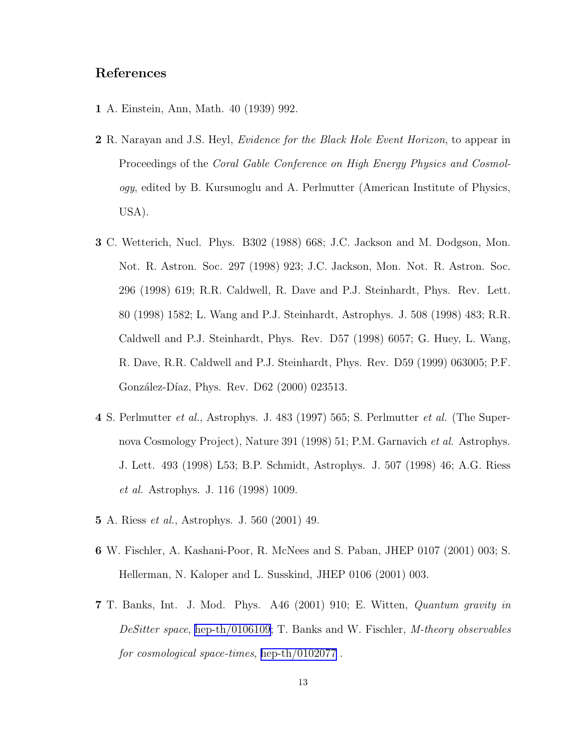## References

- 1 A. Einstein, Ann, Math. 40 (1939) 992.
- 2 R. Narayan and J.S. Heyl, Evidence for the Black Hole Event Horizon, to appear in Proceedings of the Coral Gable Conference on High Energy Physics and Cosmology, edited by B. Kursunoglu and A. Perlmutter (American Institute of Physics, USA).
- 3 C. Wetterich, Nucl. Phys. B302 (1988) 668; J.C. Jackson and M. Dodgson, Mon. Not. R. Astron. Soc. 297 (1998) 923; J.C. Jackson, Mon. Not. R. Astron. Soc. 296 (1998) 619; R.R. Caldwell, R. Dave and P.J. Steinhardt, Phys. Rev. Lett. 80 (1998) 1582; L. Wang and P.J. Steinhardt, Astrophys. J. 508 (1998) 483; R.R. Caldwell and P.J. Steinhardt, Phys. Rev. D57 (1998) 6057; G. Huey, L. Wang, R. Dave, R.R. Caldwell and P.J. Steinhardt, Phys. Rev. D59 (1999) 063005; P.F. González-Díaz, Phys. Rev. D62 (2000) 023513.
- 4 S. Perlmutter et al., Astrophys. J. 483 (1997) 565; S. Perlmutter et al. (The Supernova Cosmology Project), Nature 391 (1998) 51; P.M. Garnavich et al. Astrophys. J. Lett. 493 (1998) L53; B.P. Schmidt, Astrophys. J. 507 (1998) 46; A.G. Riess et al. Astrophys. J. 116 (1998) 1009.
- 5 A. Riess et al., Astrophys. J. 560 (2001) 49.
- 6 W. Fischler, A. Kashani-Poor, R. McNees and S. Paban, JHEP 0107 (2001) 003; S. Hellerman, N. Kaloper and L. Susskind, JHEP 0106 (2001) 003.
- 7 T. Banks, Int. J. Mod. Phys. A46 (2001) 910; E. Witten, Quantum gravity in DeSitter space, [hep-th/0106109](http://arxiv.org/abs/hep-th/0106109); T. Banks and W. Fischler, M-theory observables for cosmological space-times, [hep-th/0102077](http://arxiv.org/abs/hep-th/0102077) .